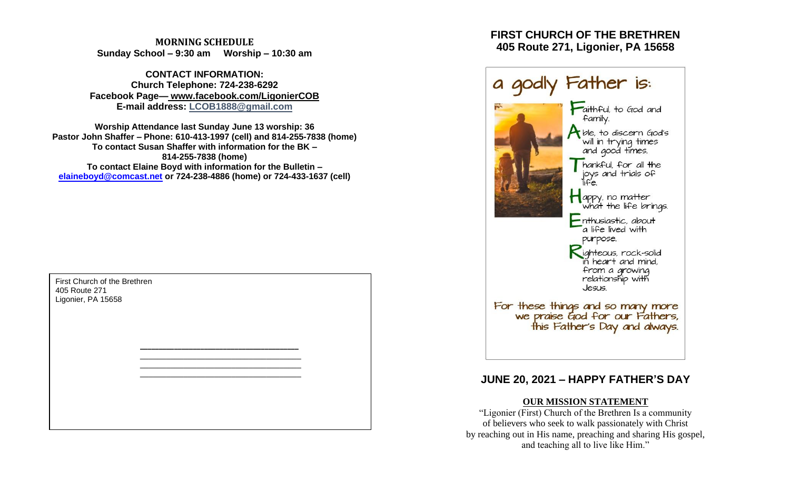**MORNING SCHEDULE Sunday School – 9:30 am Worship – 10:30 am**

**CONTACT INFORMATION: Church Telephone: 724-238-6292 Facebook Page— www.facebook.com/LigonierCOB E-mail address: LCOB1888@gmail.com**

**Worship Attendance last Sunday June 13 worship: 36 Pastor John Shaffer – Phone: 610-413-1997 (cell) and 814-255-7838 (home) To contact Susan Shaffer with information for the BK – 814-255-7838 (home) To contact Elaine Boyd with information for the Bulletin – [elaineboyd@comcast.net](mailto:elaineboyd@comcast.net) or 724-238-4886 (home) or 724-433-1637 (cell)**

> **\_\_\_\_\_\_\_\_\_\_\_\_\_\_\_\_\_\_\_\_\_\_\_\_\_\_\_\_\_\_\_\_\_\_\_\_\_\_\_\_\_\_** \_\_\_\_\_\_\_\_\_\_\_\_\_\_\_\_\_\_\_\_\_\_\_\_\_\_\_\_\_\_\_\_\_\_\_\_\_ \_\_\_\_\_\_\_\_\_\_\_\_\_\_\_\_\_\_\_\_\_\_\_\_\_\_\_\_\_\_\_\_\_\_\_\_\_ \_\_\_\_\_\_\_\_\_\_\_\_\_\_\_\_\_\_\_\_\_\_\_\_\_\_\_\_\_\_\_\_\_\_\_\_\_

First Church of the Brethren 405 Route 271 Ligonier, PA 15658

# **FIRST CHURCH OF THE BRETHREN 405 Route 271, Ligonier, PA 15658**



# **JUNE 20, 2021 – HAPPY FATHER'S DAY**

# **OUR MISSION STATEMENT**

"Ligonier (First) Church of the Brethren Is a community of believers who seek to walk passionately with Christ by reaching out in His name, preaching and sharing His gospel, and teaching all to live like Him."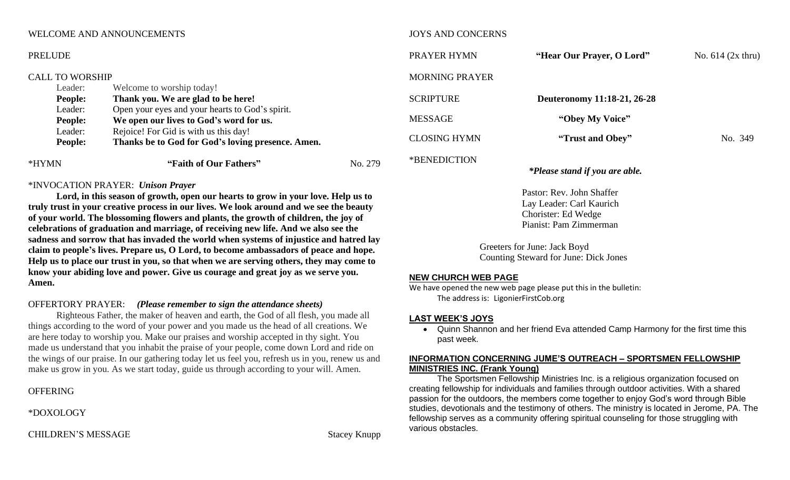## WELCOME AND ANNOUNCEMENTS

# JOYS AND CONCERNS

| <b>PRELUDE</b><br><b>CALL TO WORSHIP</b> |                                                   |         | PRAYER HYMN           | "Hear Our Prayer, O Lord"      | No. $614$ (2x thru) |
|------------------------------------------|---------------------------------------------------|---------|-----------------------|--------------------------------|---------------------|
|                                          |                                                   |         | <b>MORNING PRAYER</b> |                                |                     |
| Leader:                                  | Welcome to worship today!                         |         |                       |                                |                     |
| <b>People:</b>                           | Thank you. We are glad to be here!                |         | <b>SCRIPTURE</b>      | Deuteronomy 11:18-21, 26-28    |                     |
| Leader:                                  | Open your eyes and your hearts to God's spirit.   |         |                       |                                |                     |
| <b>People:</b>                           | We open our lives to God's word for us.           |         | <b>MESSAGE</b>        | "Obey My Voice"                |                     |
| Leader:                                  | Rejoice! For Gid is with us this day!             |         |                       |                                |                     |
| <b>People:</b>                           | Thanks be to God for God's loving presence. Amen. |         | <b>CLOSING HYMN</b>   | "Trust and Obey"               | No. 349             |
| *HYMN                                    | "Faith of Our Fathers"                            | No. 279 | *BENEDICTION          | *Please stand if you are able. |                     |

# \*INVOCATION PRAYER: *Unison Prayer*

**Lord, in this season of growth, open our hearts to grow in your love. Help us to truly trust in your creative process in our lives. We look around and we see the beauty of your world. The blossoming flowers and plants, the growth of children, the joy of celebrations of graduation and marriage, of receiving new life. And we also see the sadness and sorrow that has invaded the world when systems of injustice and hatred lay claim to people's lives. Prepare us, O Lord, to become ambassadors of peace and hope. Help us to place our trust in you, so that when we are serving others, they may come to know your abiding love and power. Give us courage and great joy as we serve you. Amen.**

# OFFERTORY PRAYER: *(Please remember to sign the attendance sheets)*

Righteous Father, the maker of heaven and earth, the God of all flesh, you made all things according to the word of your power and you made us the head of all creations. We are here today to worship you. Make our praises and worship accepted in thy sight. You made us understand that you inhabit the praise of your people, come down Lord and ride on the wings of our praise. In our gathering today let us feel you, refresh us in you, renew us and make us grow in you. As we start today, guide us through according to your will. Amen.

# OFFERING

\*DOXOLOGY

CHILDREN'S MESSAGE Stacey Knupp

# Pianist: Pam Zimmerman Greeters for June: Jack Boyd Counting Steward for June: Dick Jones

Pastor: Rev. John Shaffer Lay Leader: Carl Kaurich Chorister: Ed Wedge

#### **NEW CHURCH WEB PAGE**

We have opened the new web page please put this in the bulletin: The address is: LigonierFirstCob.org

#### **LAST WEEK'S JOYS**

• Quinn Shannon and her friend Eva attended Camp Harmony for the first time this past week.

### **INFORMATION CONCERNING JUME'S OUTREACH – SPORTSMEN FELLOWSHIP MINISTRIES INC. (Frank Young)**

The Sportsmen Fellowship Ministries Inc. is a religious organization focused on creating fellowship for individuals and families through outdoor activities. With a shared passion for the outdoors, the members come together to enjoy God's word through Bible studies, devotionals and the testimony of others. The ministry is located in Jerome, PA. The fellowship serves as a community offering spiritual counseling for those struggling with various obstacles.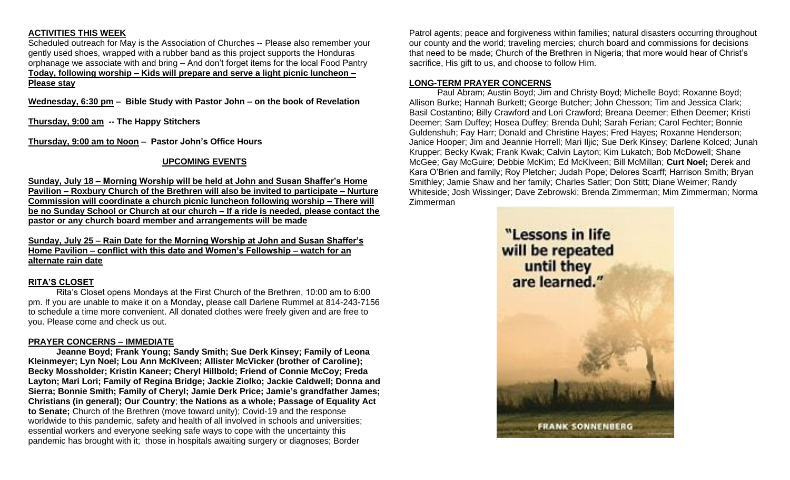# **ACTIVITIES THIS WEEK**

Scheduled outreach for May is the Association of Churches -- Please also remember your gently used shoes, wrapped with a rubber band as this project supports the Honduras orphanage we associate with and bring – And don't forget items for the local Food Pantry **Today, following worship – Kids will prepare and serve a light picnic luncheon – Please stay**

**Wednesday, 6:30 pm – Bible Study with Pastor John – on the book of Revelation**

**Thursday, 9:00 am -- The Happy Stitchers**

**Thursday, 9:00 am to Noon – Pastor John's Office Hours**

# **UPCOMING EVENTS**

**Sunday, July 18 – Morning Worship will be held at John and Susan Shaffer's Home Pavilion – Roxbury Church of the Brethren will also be invited to participate – Nurture Commission will coordinate a church picnic luncheon following worship – There will be no Sunday School or Church at our church – If a ride is needed, please contact the pastor or any church board member and arrangements will be made**

**Sunday, July 25 – Rain Date for the Morning Worship at John and Susan Shaffer's Home Pavilion – conflict with this date and Women's Fellowship – watch for an alternate rain date**

# **RITA'S CLOSET**

Rita's Closet opens Mondays at the First Church of the Brethren, 10:00 am to 6:00 pm. If you are unable to make it on a Monday, please call Darlene Rummel at 814-243-7156 to schedule a time more convenient. All donated clothes were freely given and are free to you. Please come and check us out.

# **PRAYER CONCERNS – IMMEDIATE**

**Jeanne Boyd; Frank Young; Sandy Smith; Sue Derk Kinsey; Family of Leona Kleinmeyer; Lyn Noel; Lou Ann McKlveen; Allister McVicker (brother of Caroline); Becky Mossholder; Kristin Kaneer; Cheryl Hillbold; Friend of Connie McCoy; Freda Layton; Mari Lori; Family of Regina Bridge; Jackie Ziolko; Jackie Caldwell; Donna and Sierra; Bonnie Smith; Family of Cheryl; Jamie Derk Price; Jamie's grandfather James; Christians (in general); Our Country**; **the Nations as a whole; Passage of Equality Act to Senate;** Church of the Brethren (move toward unity); Covid-19 and the response worldwide to this pandemic, safety and health of all involved in schools and universities; essential workers and everyone seeking safe ways to cope with the uncertainty this pandemic has brought with it; those in hospitals awaiting surgery or diagnoses; Border

Patrol agents; peace and forgiveness within families; natural disasters occurring throughout our county and the world; traveling mercies; church board and commissions for decisions that need to be made; Church of the Brethren in Nigeria; that more would hear of Christ's sacrifice, His gift to us, and choose to follow Him.

# **LONG-TERM PRAYER CONCERNS**

Paul Abram; Austin Boyd; Jim and Christy Boyd; Michelle Boyd; Roxanne Boyd; Allison Burke; Hannah Burkett; George Butcher; John Chesson; Tim and Jessica Clark; Basil Costantino; Billy Crawford and Lori Crawford; Breana Deemer; Ethen Deemer; Kristi Deemer; Sam Duffey; Hosea Duffey; Brenda Duhl; Sarah Ferian; Carol Fechter; Bonnie Guldenshuh; Fay Harr; Donald and Christine Hayes; Fred Hayes; Roxanne Henderson; Janice Hooper; Jim and Jeannie Horrell; Mari Iljic; Sue Derk Kinsey; Darlene Kolced; Junah Krupper; Becky Kwak; Frank Kwak; Calvin Layton; Kim Lukatch; Bob McDowell; Shane McGee; Gay McGuire; Debbie McKim; Ed McKlveen; Bill McMillan; **Curt Noel;** Derek and Kara O'Brien and family; Roy Pletcher; Judah Pope; Delores Scarff; Harrison Smith; Bryan Smithley; Jamie Shaw and her family; Charles Satler; Don Stitt; Diane Weimer; Randy Whiteside; Josh Wissinger; Dave Zebrowski; Brenda Zimmerman; Mim Zimmerman; Norma Zimmerman

> "Lessons in life will be repeated until they are learned."